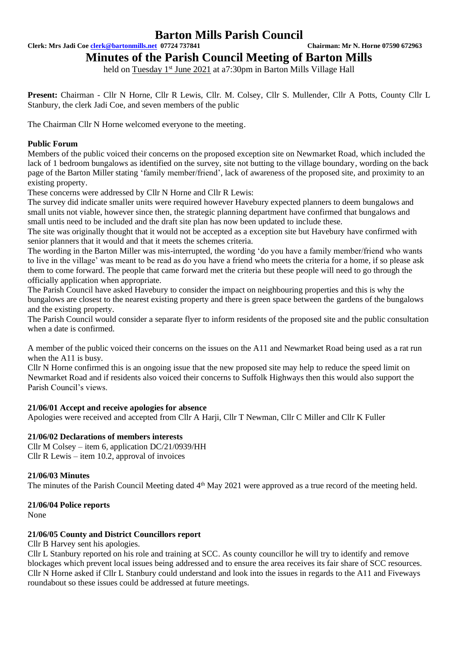**Clerk: Mrs Jadi Coe [clerk@bartonmills.net](mailto:clerk@bartonmills.net) 07724 737841 Chairman: Mr N. Horne 07590 672963**

**Minutes of the Parish Council Meeting of Barton Mills** 

held on Tuesday 1<sup>st</sup> June 2021 at a7:30pm in Barton Mills Village Hall

Present: Chairman - Cllr N Horne, Cllr R Lewis, Cllr. M. Colsey, Cllr S. Mullender, Cllr A Potts, County Cllr L Stanbury, the clerk Jadi Coe, and seven members of the public

The Chairman Cllr N Horne welcomed everyone to the meeting.

# **Public Forum**

Members of the public voiced their concerns on the proposed exception site on Newmarket Road, which included the lack of 1 bedroom bungalows as identified on the survey, site not butting to the village boundary, wording on the back page of the Barton Miller stating 'family member/friend', lack of awareness of the proposed site, and proximity to an existing property.

These concerns were addressed by Cllr N Horne and Cllr R Lewis:

The survey did indicate smaller units were required however Havebury expected planners to deem bungalows and small units not viable, however since then, the strategic planning department have confirmed that bungalows and small untis need to be included and the draft site plan has now been updated to include these.

The site was originally thought that it would not be accepted as a exception site but Havebury have confirmed with senior planners that it would and that it meets the schemes criteria.

The wording in the Barton Miller was mis-interrupted, the wording 'do you have a family member/friend who wants to live in the village' was meant to be read as do you have a friend who meets the criteria for a home, if so please ask them to come forward. The people that came forward met the criteria but these people will need to go through the officially application when appropriate.

The Parish Council have asked Havebury to consider the impact on neighbouring properties and this is why the bungalows are closest to the nearest existing property and there is green space between the gardens of the bungalows and the existing property.

The Parish Council would consider a separate flyer to inform residents of the proposed site and the public consultation when a date is confirmed.

A member of the public voiced their concerns on the issues on the A11 and Newmarket Road being used as a rat run when the A11 is busy.

Cllr N Horne confirmed this is an ongoing issue that the new proposed site may help to reduce the speed limit on Newmarket Road and if residents also voiced their concerns to Suffolk Highways then this would also support the Parish Council's views.

# **21/06/01 Accept and receive apologies for absence**

Apologies were received and accepted from Cllr A Harji, Cllr T Newman, Cllr C Miller and Cllr K Fuller

# **21/06/02 Declarations of members interests**

Cllr M Colsey – item 6, application DC/21/0939/HH Cllr R Lewis – item 10.2, approval of invoices

### **21/06/03 Minutes**

The minutes of the Parish Council Meeting dated 4<sup>th</sup> May 2021 were approved as a true record of the meeting held.

### **21/06/04 Police reports**

None

### **21/06/05 County and District Councillors report**

Cllr B Harvey sent his apologies.

Cllr L Stanbury reported on his role and training at SCC. As county councillor he will try to identify and remove blockages which prevent local issues being addressed and to ensure the area receives its fair share of SCC resources. Cllr N Horne asked if Cllr L Stanbury could understand and look into the issues in regards to the A11 and Fiveways roundabout so these issues could be addressed at future meetings.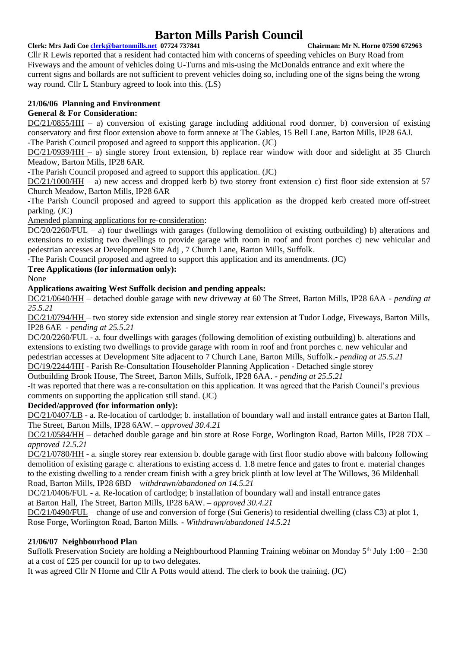**Clerk: Mrs Jadi Coe [clerk@bartonmills.net](mailto:clerk@bartonmills.net) 07724 737841 Chairman: Mr N. Horne 07590 672963**

Cllr R Lewis reported that a resident had contacted him with concerns of speeding vehicles on Bury Road from Fiveways and the amount of vehicles doing U-Turns and mis-using the McDonalds entrance and exit where the current signs and bollards are not sufficient to prevent vehicles doing so, including one of the signs being the wrong way round. Cllr L Stanbury agreed to look into this. (LS)

# **21/06/06 Planning and Environment**

# **General & For Consideration:**

DC/21/0855/HH – a) conversion of existing garage including additional rood dormer, b) conversion of existing conservatory and first floor extension above to form annexe at The Gables, 15 Bell Lane, Barton Mills, IP28 6AJ. -The Parish Council proposed and agreed to support this application. (JC)

DC/21/0939/HH – a) single storey front extension, b) replace rear window with door and sidelight at 35 Church Meadow, Barton Mills, IP28 6AR.

-The Parish Council proposed and agreed to support this application. (JC)

DC/21/1000/HH – a) new access and dropped kerb b) two storey front extension c) first floor side extension at 57 Church Meadow, Barton Mills, IP28 6AR

-The Parish Council proposed and agreed to support this application as the dropped kerb created more off-street parking. (JC)

Amended planning applications for re-consideration:

 $DC/20/2260/FUL - a)$  four dwellings with garages (following demolition of existing outbuilding) b) alterations and extensions to existing two dwellings to provide garage with room in roof and front porches c) new vehicular and pedestrian accesses at Development Site Adj , 7 Church Lane, Barton Mills, Suffolk.

-The Parish Council proposed and agreed to support this application and its amendments. (JC)

# **Tree Applications (for information only):**

None

# **Applications awaiting West Suffolk decision and pending appeals:**

DC/21/0640/HH – detached double garage with new driveway at 60 The Street, Barton Mills, IP28 6AA *- pending at 25.5.21*

DC/21/0794/HH – two storey side extension and single storey rear extension at Tudor Lodge, Fiveways, Barton Mills, IP28 6AE *- pending at 25.5.21*

DC/20/2260/FUL - a. four dwellings with garages (following demolition of existing outbuilding) b. alterations and extensions to existing two dwellings to provide garage with room in roof and front porches c. new vehicular and pedestrian accesses at Development Site adjacent to 7 Church Lane, Barton Mills, Suffolk.**-** *pending at 25.5.21* DC/19/2244/HH - Parish Re-Consultation Householder Planning Application - Detached single storey

Outbuilding Brook House, The Street, Barton Mills, Suffolk, IP28 6AA. **-** *pending at 25.5.21*

-It was reported that there was a re-consultation on this application. It was agreed that the Parish Council's previous comments on supporting the application still stand. (JC)

# **Decided/approved (for information only):**

DC/21/0407/LB - a. Re-location of cartlodge; b. installation of boundary wall and install entrance gates at Barton Hall, The Street, Barton Mills, IP28 6AW. **–** *approved 30.4.21*

DC/21/0584/HH – detached double garage and bin store at Rose Forge, Worlington Road, Barton Mills, IP28 7DX – *approved 12.5.21*

DC/21/0780/HH - a. single storey rear extension b. double garage with first floor studio above with balcony following demolition of existing garage c. alterations to existing access d. 1.8 metre fence and gates to front e. material changes to the existing dwelling to a render cream finish with a grey brick plinth at low level at The Willows, 36 Mildenhall Road, Barton Mills, IP28 6BD – *withdrawn/abandoned on 14.5.21*

DC/21/0406/FUL - a. Re-location of cartlodge; b installation of boundary wall and install entrance gates at Barton Hall, The Street, Barton Mills, IP28 6AW. *– approved 30.4.21*

DC/21/0490/FUL – change of use and conversion of forge (Sui Generis) to residential dwelling (class C3) at plot 1, Rose Forge, Worlington Road, Barton Mills. **-** *Withdrawn/abandoned 14.5.21*

# **21/06/07 Neighbourhood Plan**

Suffolk Preservation Society are holding a Neighbourhood Planning Training webinar on Monday  $5<sup>th</sup>$  July 1:00 – 2:30 at a cost of £25 per council for up to two delegates.

It was agreed Cllr N Horne and Cllr A Potts would attend. The clerk to book the training. (JC)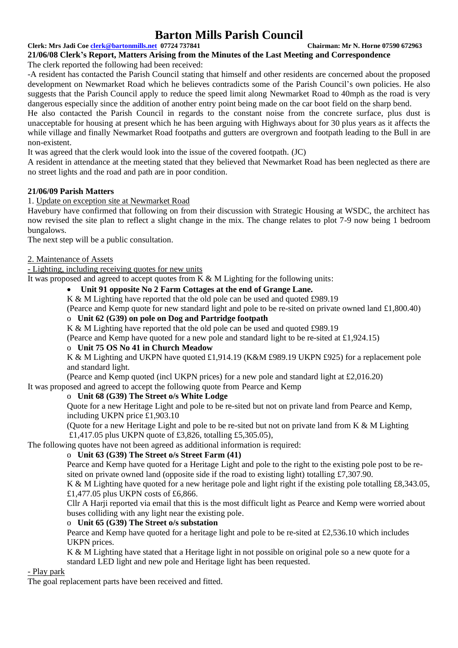#### **Clerk: Mrs Jadi Coe [clerk@bartonmills.net](mailto:clerk@bartonmills.net) 07724 737841 Chairman: Mr N. Horne 07590 672963**

**21/06/08 Clerk's Report, Matters Arising from the Minutes of the Last Meeting and Correspondence**

The clerk reported the following had been received:

-A resident has contacted the Parish Council stating that himself and other residents are concerned about the proposed development on Newmarket Road which he believes contradicts some of the Parish Council's own policies. He also suggests that the Parish Council apply to reduce the speed limit along Newmarket Road to 40mph as the road is very dangerous especially since the addition of another entry point being made on the car boot field on the sharp bend.

He also contacted the Parish Council in regards to the constant noise from the concrete surface, plus dust is unacceptable for housing at present which he has been arguing with Highways about for 30 plus years as it affects the while village and finally Newmarket Road footpaths and gutters are overgrown and footpath leading to the Bull in are non-existent.

It was agreed that the clerk would look into the issue of the covered footpath. (JC)

A resident in attendance at the meeting stated that they believed that Newmarket Road has been neglected as there are no street lights and the road and path are in poor condition.

# **21/06/09 Parish Matters**

# 1. Update on exception site at Newmarket Road

Havebury have confirmed that following on from their discussion with Strategic Housing at WSDC, the architect has now revised the site plan to reflect a slight change in the mix. The change relates to plot 7-9 now being 1 bedroom bungalows.

The next step will be a public consultation.

### 2. Maintenance of Assets

- Lighting, including receiving quotes for new units

It was proposed and agreed to accept quotes from  $K \& M$  Lighting for the following units:

# • **Unit 91 opposite No 2 Farm Cottages at the end of Grange Lane.**

K & M Lighting have reported that the old pole can be used and quoted £989.19

(Pearce and Kemp quote for new standard light and pole to be re-sited on private owned land £1,800.40)

# o **Unit 62 (G39) on pole on Dog and Partridge footpath**

K & M Lighting have reported that the old pole can be used and quoted £989.19

(Pearce and Kemp have quoted for a new pole and standard light to be re-sited at £1,924.15)

### o **Unit 75 OS No 41 in Church Meadow**

K & M Lighting and UKPN have quoted £1,914.19 (K&M £989.19 UKPN £925) for a replacement pole and standard light.

(Pearce and Kemp quoted (incl UKPN prices) for a new pole and standard light at £2,016.20) It was proposed and agreed to accept the following quote from Pearce and Kemp

# o **Unit 68 (G39) The Street o/s White Lodge**

Quote for a new Heritage Light and pole to be re-sited but not on private land from Pearce and Kemp, including UKPN price £1,903.10

(Quote for a new Heritage Light and pole to be re-sited but not on private land from K & M Lighting £1,417.05 plus UKPN quote of £3,826, totalling £5,305.05),

The following quotes have not been agreed as additional information is required:

# o **Unit 63 (G39) The Street o/s Street Farm (41)**

Pearce and Kemp have quoted for a Heritage Light and pole to the right to the existing pole post to be resited on private owned land (opposite side if the road to existing light) totalling £7,307.90.

K & M Lighting have quoted for a new heritage pole and light right if the existing pole totalling £8,343.05, £1,477.05 plus UKPN costs of £6,866.

Cllr A Harii reported via email that this is the most difficult light as Pearce and Kemp were worried about buses colliding with any light near the existing pole.

# o **Unit 65 (G39) The Street o/s substation**

Pearce and Kemp have quoted for a heritage light and pole to be re-sited at £2,536.10 which includes UKPN prices.

K & M Lighting have stated that a Heritage light in not possible on original pole so a new quote for a standard LED light and new pole and Heritage light has been requested.

### - Play park

The goal replacement parts have been received and fitted.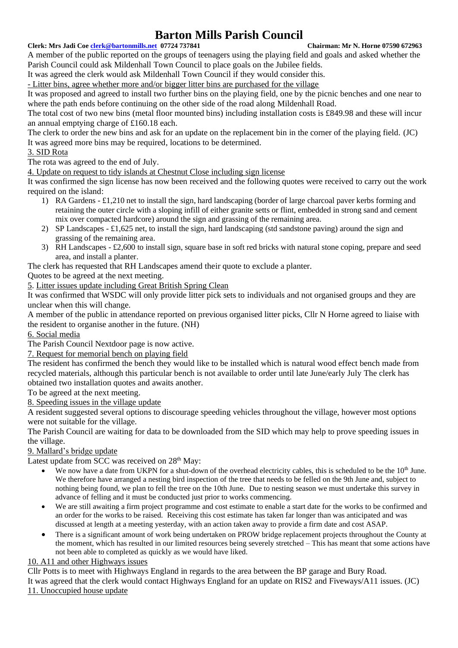### **Clerk: Mrs Jadi Coe [clerk@bartonmills.net](mailto:clerk@bartonmills.net) 07724 737841 Chairman: Mr N. Horne 07590 672963**

A member of the public reported on the groups of teenagers using the playing field and goals and asked whether the Parish Council could ask Mildenhall Town Council to place goals on the Jubilee fields.

It was agreed the clerk would ask Mildenhall Town Council if they would consider this.

- Litter bins, agree whether more and/or bigger litter bins are purchased for the village

It was proposed and agreed to install two further bins on the playing field, one by the picnic benches and one near to where the path ends before continuing on the other side of the road along Mildenhall Road.

The total cost of two new bins (metal floor mounted bins) including installation costs is £849.98 and these will incur an annual emptying charge of £160.18 each.

The clerk to order the new bins and ask for an update on the replacement bin in the corner of the playing field. (JC) It was agreed more bins may be required, locations to be determined.

# 3. SID Rota

The rota was agreed to the end of July.

4. Update on request to tidy islands at Chestnut Close including sign license

It was confirmed the sign license has now been received and the following quotes were received to carry out the work required on the island:

- 1) RA Gardens £1,210 net to install the sign, hard landscaping (border of large charcoal paver kerbs forming and retaining the outer circle with a sloping infill of either granite setts or flint, embedded in strong sand and cement mix over compacted hardcore) around the sign and grassing of the remaining area.
- 2) SP Landscapes £1,625 net, to install the sign, hard landscaping (std sandstone paving) around the sign and grassing of the remaining area.
- 3) RH Landscapes £2,600 to install sign, square base in soft red bricks with natural stone coping, prepare and seed area, and install a planter.

The clerk has requested that RH Landscapes amend their quote to exclude a planter.

Quotes to be agreed at the next meeting.

5. Litter issues update including Great British Spring Clean

It was confirmed that WSDC will only provide litter pick sets to individuals and not organised groups and they are unclear when this will change.

A member of the public in attendance reported on previous organised litter picks, Cllr N Horne agreed to liaise with the resident to organise another in the future. (NH)

6. Social media

The Parish Council Nextdoor page is now active.

7. Request for memorial bench on playing field

The resident has confirmed the bench they would like to be installed which is natural wood effect bench made from recycled materials, although this particular bench is not available to order until late June/early July The clerk has obtained two installation quotes and awaits another.

To be agreed at the next meeting.

8. Speeding issues in the village update

A resident suggested several options to discourage speeding vehicles throughout the village, however most options were not suitable for the village.

The Parish Council are waiting for data to be downloaded from the SID which may help to prove speeding issues in the village.

# 9. Mallard's bridge update

Latest update from SCC was received on  $28<sup>th</sup>$  May:

- We now have a date from UKPN for a shut-down of the overhead electricity cables, this is scheduled to be the  $10<sup>th</sup>$  June. We therefore have arranged a nesting bird inspection of the tree that needs to be felled on the 9th June and, subject to nothing being found, we plan to fell the tree on the 10th June. Due to nesting season we must undertake this survey in advance of felling and it must be conducted just prior to works commencing.
- We are still awaiting a firm project programme and cost estimate to enable a start date for the works to be confirmed and an order for the works to be raised. Receiving this cost estimate has taken far longer than was anticipated and was discussed at length at a meeting yesterday, with an action taken away to provide a firm date and cost ASAP.
- There is a significant amount of work being undertaken on PROW bridge replacement projects throughout the County at the moment, which has resulted in our limited resources being severely stretched – This has meant that some actions have not been able to completed as quickly as we would have liked.

# 10. A11 and other Highways issues

Cllr Potts is to meet with Highways England in regards to the area between the BP garage and Bury Road. It was agreed that the clerk would contact Highways England for an update on RIS2 and Fiveways/A11 issues. (JC)

# 11. Unoccupied house update